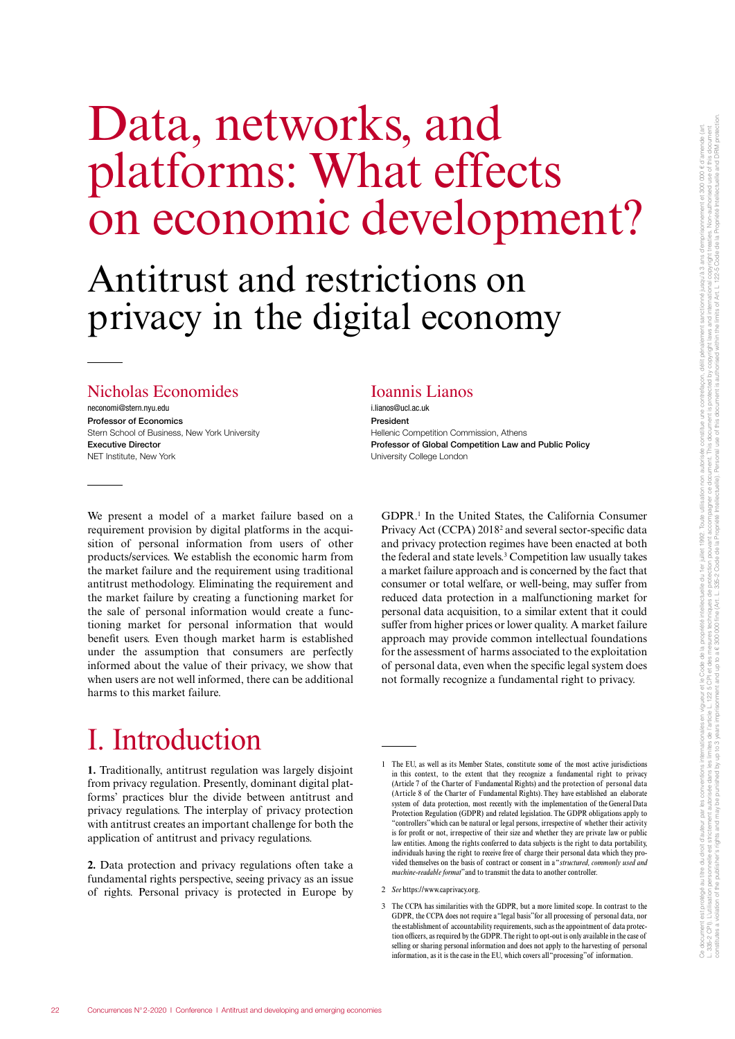# Data, networks, and platforms: What effects on economic development?

# Antitrust and restrictions on privacy in the digital economy

#### Nicholas Economides

neconomi@stern.nyu.edu Professor of Economics Stern School of Business, New York University Executive Director NET Institute, New York

#### Ioannis Lianos

i.lianos@ucl.ac.uk President Hellenic Competition Commission, Athens Professor of Global Competition Law and Public Policy University College London

We present a model of a market failure based on a requirement provision by digital platforms in the acquisition of personal information from users of other products/services. We establish the economic harm from the market failure and the requirement using traditional antitrust methodology. Eliminating the requirement and the market failure by creating a functioning market for the sale of personal information would create a functioning market for personal information that would benefit users. Even though market harm is established under the assumption that consumers are perfectly informed about the value of their privacy, we show that when users are not well informed, there can be additional harms to this market failure.

GDPR.1 In the United States, the California Consumer Privacy Act (CCPA) 20182 and several sector-specific data and privacy protection regimes have been enacted at both the federal and state levels.3 Competition law usually takes a market failure approach and is concerned by the fact that consumer or total welfare, or well-being, may suffer from reduced data protection in a malfunctioning market for personal data acquisition, to a similar extent that it could suffer from higher prices or lower quality. A market failure approach may provide common intellectual foundations for the assessment of harms associated to the exploitation of personal data, even when the specific legal system does not formally recognize a fundamental right to privacy.

## I. Introduction

**1.** Traditionally, antitrust regulation was largely disjoint from privacy regulation. Presently, dominant digital platforms' practices blur the divide between antitrust and privacy regulations. The interplay of privacy protection with antitrust creates an important challenge for both the application of antitrust and privacy regulations.

**2.** Data protection and privacy regulations often take a fundamental rights perspective, seeing privacy as an issue of rights. Personal privacy is protected in Europe by

<sup>1</sup> The EU, as well as its Member States, constitute some of the most active jurisdictions in this context, to the extent that they recognize a fundamental right to privacy (Article 7 of the Charter of Fundamental Rights) and the protection of personal data (Article 8 of the Charter of Fundamental Rights). They have established an elaborate system of data protection, most recently with the implementation of the General Data Protection Regulation (GDPR) and related legislation. The GDPR obligations apply to "controllers" which can be natural or legal persons, irrespective of whether their activity is for profit or not, irrespective of their size and whether they are private law or public law entities. Among the rights conferred to data subjects is the right to data portability, individuals having the right to receive free of charge their personal data which they provided themselves on the basis of contract or consent in a "*structured, commonly used and machine-readable format*" and to transmit the data to another controller.

<sup>2</sup> *See* https://www.caprivacy.org.

<sup>3</sup> The CCPA has similarities with the GDPR, but a more limited scope. In contrast to the GDPR, the CCPA does not require a "legal basis" for all processing of personal data, nor the establishment of accountability requirements, such as the appointment of data protection officers, as required by the GDPR. The right to opt-out is only available in the case of selling or sharing personal information and does not apply to the harvesting of personal information, as it is the case in the EU, which covers all "processing" of information.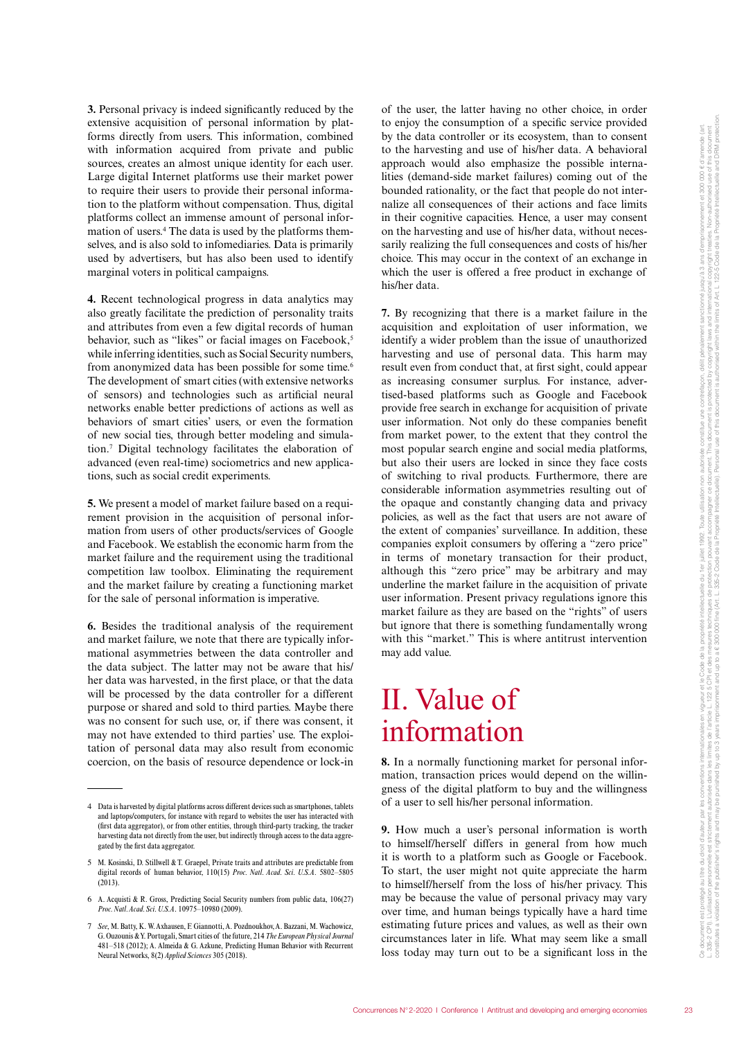**3.** Personal privacy is indeed significantly reduced by the extensive acquisition of personal information by platforms directly from users. This information, combined with information acquired from private and public sources, creates an almost unique identity for each user. Large digital Internet platforms use their market power to require their users to provide their personal information to the platform without compensation. Thus, digital platforms collect an immense amount of personal information of users.<sup>4</sup> The data is used by the platforms themselves, and is also sold to infomediaries. Data is primarily used by advertisers, but has also been used to identify marginal voters in political campaigns.

**4.** Recent technological progress in data analytics may also greatly facilitate the prediction of personality traits and attributes from even a few digital records of human behavior, such as "likes" or facial images on Facebook,<sup>5</sup> while inferring identities, such as Social Security numbers, from anonymized data has been possible for some time.<sup>6</sup> The development of smart cities (with extensive networks of sensors) and technologies such as artificial neural networks enable better predictions of actions as well as behaviors of smart cities' users, or even the formation of new social ties, through better modeling and simulation.7 Digital technology facilitates the elaboration of advanced (even real-time) sociometrics and new applications, such as social credit experiments.

**5.** We present a model of market failure based on a requirement provision in the acquisition of personal information from users of other products/services of Google and Facebook. We establish the economic harm from the market failure and the requirement using the traditional competition law toolbox. Eliminating the requirement and the market failure by creating a functioning market for the sale of personal information is imperative.

**6.** Besides the traditional analysis of the requirement and market failure, we note that there are typically informational asymmetries between the data controller and the data subject. The latter may not be aware that his/ her data was harvested, in the first place, or that the data will be processed by the data controller for a different purpose or shared and sold to third parties. Maybe there was no consent for such use, or, if there was consent, it may not have extended to third parties' use. The exploitation of personal data may also result from economic coercion, on the basis of resource dependence or lock-in

of the user, the latter having no other choice, in order to enjoy the consumption of a specific service provided by the data controller or its ecosystem, than to consent to the harvesting and use of his/her data. A behavioral approach would also emphasize the possible internalities (demand-side market failures) coming out of the bounded rationality, or the fact that people do not internalize all consequences of their actions and face limits in their cognitive capacities. Hence, a user may consent on the harvesting and use of his/her data, without necessarily realizing the full consequences and costs of his/her choice. This may occur in the context of an exchange in which the user is offered a free product in exchange of his/her data.

**7.** By recognizing that there is a market failure in the acquisition and exploitation of user information, we identify a wider problem than the issue of unauthorized harvesting and use of personal data. This harm may result even from conduct that, at first sight, could appear as increasing consumer surplus. For instance, advertised-based platforms such as Google and Facebook provide free search in exchange for acquisition of private user information. Not only do these companies benefit from market power, to the extent that they control the most popular search engine and social media platforms, but also their users are locked in since they face costs of switching to rival products. Furthermore, there are considerable information asymmetries resulting out of the opaque and constantly changing data and privacy policies, as well as the fact that users are not aware of the extent of companies' surveillance. In addition, these companies exploit consumers by offering a "zero price" in terms of monetary transaction for their product, although this "zero price" may be arbitrary and may underline the market failure in the acquisition of private user information. Present privacy regulations ignore this market failure as they are based on the "rights" of users but ignore that there is something fundamentally wrong with this "market." This is where antitrust intervention may add value.

### II. Value of information

**8.** In a normally functioning market for personal information, transaction prices would depend on the willingness of the digital platform to buy and the willingness of a user to sell his/her personal information.

**9.** How much a user's personal information is worth to himself/herself differs in general from how much it is worth to a platform such as Google or Facebook. To start, the user might not quite appreciate the harm to himself/herself from the loss of his/her privacy. This may be because the value of personal privacy may vary over time, and human beings typically have a hard time estimating future prices and values, as well as their own circumstances later in life. What may seem like a small loss today may turn out to be a significant loss in the

<sup>4</sup> Data is harvested by digital platforms across different devices such as smartphones, tablets and laptops/computers, for instance with regard to websites the user has interacted with (first data aggregator), or from other entities, through third-party tracking, the tracker harvesting data not directly from the user, but indirectly through access to the data aggregated by the first data aggregator.

<sup>5</sup> M. Kosinski, D. Stillwell & T. Graepel, Private traits and attributes are predictable from digital records of human behavior, 110(15) *Proc. Natl. Acad. Sci. U.S.A.* 5802–5805  $(2013).$ 

<sup>6</sup> A. Acquisti & R. Gross, Predicting Social Security numbers from public data, 106(27) *Proc. Natl. Acad. Sci. U.S.A*. 10975–10980 (2009).

<sup>7</sup> *See*, M. Batty, K. W. Axhausen, F. Giannotti, A. Pozdnoukhov, A. Bazzani, M. Wachowicz, G. Ouzounis & Y. Portugali, Smart cities of the future, 214 *The European Physical Journal* 481–518 (2012); A. Almeida & G. Azkune, Predicting Human Behavior with Recurrent Neural Networks, 8(2) *Applied Sciences* 305 (2018).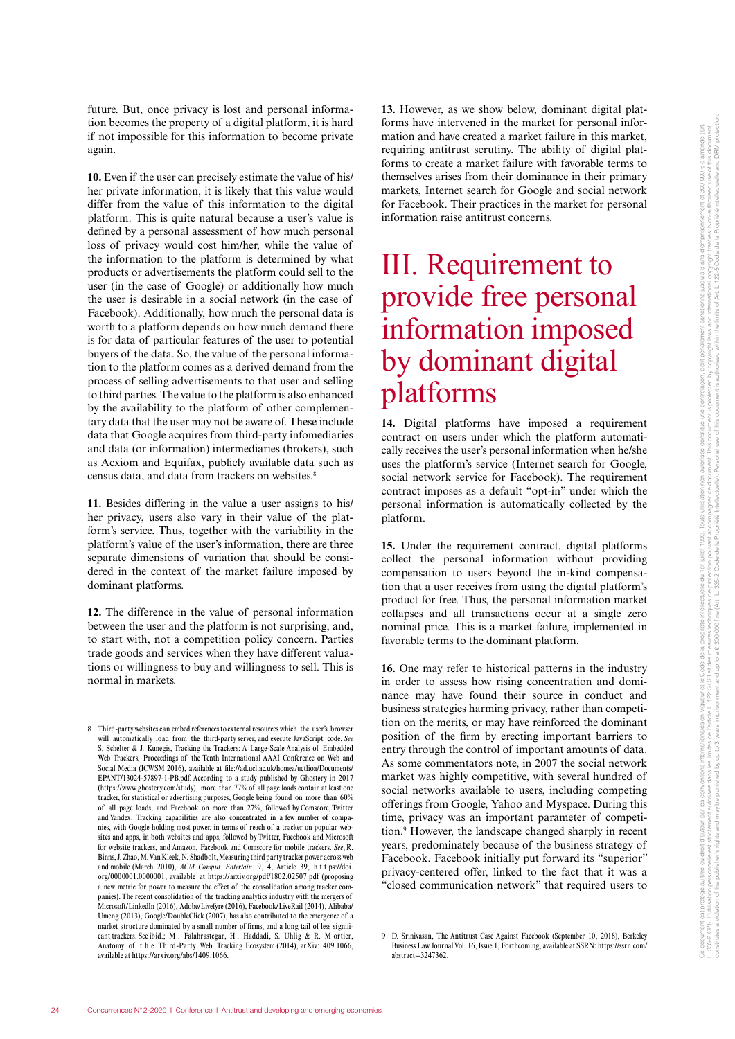future. But, once privacy is lost and personal information becomes the property of a digital platform, it is hard if not impossible for this information to become private again.

**10.** Even if the user can precisely estimate the value of his/ her private information, it is likely that this value would differ from the value of this information to the digital platform. This is quite natural because a user's value is defined by a personal assessment of how much personal loss of privacy would cost him/her, while the value of the information to the platform is determined by what products or advertisements the platform could sell to the user (in the case of Google) or additionally how much the user is desirable in a social network (in the case of Facebook). Additionally, how much the personal data is worth to a platform depends on how much demand there is for data of particular features of the user to potential buyers of the data. So, the value of the personal information to the platform comes as a derived demand from the process of selling advertisements to that user and selling to third parties. The value to the platform is also enhanced by the availability to the platform of other complementary data that the user may not be aware of. These include data that Google acquires from third-party infomediaries and data (or information) intermediaries (brokers), such as Acxiom and Equifax, publicly available data such as census data, and data from trackers on websites.<sup>8</sup>

**11.** Besides differing in the value a user assigns to his/ her privacy, users also vary in their value of the platform's service. Thus, together with the variability in the platform's value of the user's information, there are three separate dimensions of variation that should be considered in the context of the market failure imposed by dominant platforms.

**12.** The difference in the value of personal information between the user and the platform is not surprising, and, to start with, not a competition policy concern. Parties trade goods and services when they have different valuations or willingness to buy and willingness to sell. This is normal in markets.

**13.** However, as we show below, dominant digital platforms have intervened in the market for personal information and have created a market failure in this market, requiring antitrust scrutiny. The ability of digital platforms to create a market failure with favorable terms to themselves arises from their dominance in their primary markets, Internet search for Google and social network for Facebook. Their practices in the market for personal information raise antitrust concerns.

### III. Requirement to provide free personal information imposed by dominant digital platforms

**14.** Digital platforms have imposed a requirement contract on users under which the platform automatically receives the user's personal information when he/she uses the platform's service (Internet search for Google, social network service for Facebook). The requirement contract imposes as a default "opt-in" under which the personal information is automatically collected by the platform.

**15.** Under the requirement contract, digital platforms collect the personal information without providing compensation to users beyond the in-kind compensation that a user receives from using the digital platform's product for free. Thus, the personal information market collapses and all transactions occur at a single zero nominal price. This is a market failure, implemented in favorable terms to the dominant platform.

**16.** One may refer to historical patterns in the industry in order to assess how rising concentration and dominance may have found their source in conduct and business strategies harming privacy, rather than competition on the merits, or may have reinforced the dominant position of the firm by erecting important barriers to entry through the control of important amounts of data. As some commentators note, in 2007 the social network market was highly competitive, with several hundred of social networks available to users, including competing offerings from Google, Yahoo and Myspace. During this time, privacy was an important parameter of competition.9 However, the landscape changed sharply in recent years, predominately because of the business strategy of Facebook. Facebook initially put forward its "superior" privacy-centered offer, linked to the fact that it was a "closed communication network" that required users to

<sup>8</sup> Third-party websites can embed references to external resources which the user's browser will automatically load from the third-party server, and execute JavaScript code. *See*  S. Schelter & J. Kunegis, Tracking the Trackers: A Large-Scale Analysis of Embedded Web Trackers, Proceedings of the Tenth International AAAI Conference on Web and Social Media (ICWSM 2016), available at file://ad.ucl.ac.uk/homea/uctlioa/Documents/ EPANT/13024-57897-1-PB.pdf. According to a study published by Ghostery in 2017 (https://www.ghostery.com/study), more than 77% of all page loads contain at least one tracker, for statistical or advertising purposes, Google being found on more than 60% of all page loads, and Facebook on more than 27%, followed by Comscore, Twitter and Yandex. Tracking capabilities are also concentrated in a few number of companies, with Google holding most power, in terms of reach of a tracker on popular websites and apps, in both websites and apps, followed by Twitter, Facebook and Microsoft for website trackers, and Amazon, Facebook and Comscore for mobile trackers. *See*, R. Binns, J. Zhao, M. Van Kleek, N. Shadbolt, Measuring third party tracker power across web and mobile (March 2010), *ACM Comput. Entertain*. 9, 4, Article 39, h t t ps://doi. org/0000001.0000001, available at https://arxiv.org/pdf/1802.02507.pdf (proposing a new metric for power to measure the effect of the consolidation among tracker companies). The recent consolidation of the tracking analytics industry with the mergers of Microsoft/LinkedIn (2016), Adobe/Livefyre (2016), Facebook/LiveRail (2014), Alibaba/ Umeng (2013), Google/DoubleClick (2007), has also contributed to the emergence of a market structure dominated by a small number of firms, and a long tail of less significant trackers. See ibid.; M . Falahrastegar, H . Haddadi, S. Uhlig & R. M ortier, Anatomy of t h e Third-Party Web Tracking Ecosystem (2014), arXiv:1409.1066, available at https://arxiv.org/abs/1409.1066.

<sup>9</sup> D. Srinivasan, The Antitrust Case Against Facebook (September 10, 2018), Berkeley Business Law Journal Vol. 16, Issue 1, Forthcoming, available at SSRN: https://ssrn.com/ abstract=3247362.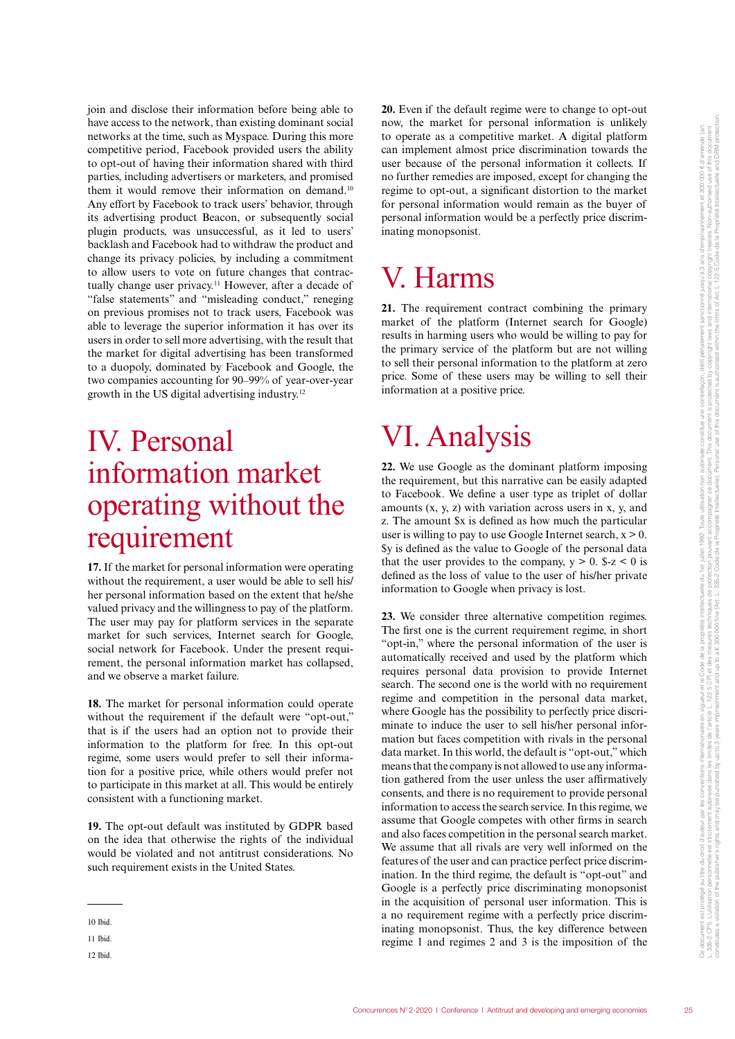join and disclose their information before being able to have access to the network, than existing dominant social networks at the time, such as Myspace. During this more competitive period, Facebook provided users the ability to opt-out of having their information shared with third parties, including advertisers or marketers, and promised them it would remove their information on demand.<sup>10</sup> Any effort by Facebook to track users' behavior, through its advertising product Beacon, or subsequently social plugin products, was unsuccessful, as it led to users' backlash and Facebook had to withdraw the product and change its privacy policies, by including a commitment to allow users to vote on future changes that contractually change user privacy.<sup>11</sup> However, after a decade of "false statements" and "misleading conduct," reneging on previous promises not to track users, Facebook was able to leverage the superior information it has over its users in order to sell more advertising, with the result that the market for digital advertising has been transformed to a duopoly, dominated by Facebook and Google, the two companies accounting for 90–99% of year-over-year growth in the US digital advertising industry.12

### IV. Personal information market operating without the requirement

**17.** If the market for personal information were operating without the requirement, a user would be able to sell his/ her personal information based on the extent that he/she valued privacy and the willingness to pay of the platform. The user may pay for platform services in the separate market for such services, Internet search for Google, social network for Facebook. Under the present requirement, the personal information market has collapsed, and we observe a market failure.

**18.** The market for personal information could operate without the requirement if the default were "opt-out," that is if the users had an option not to provide their information to the platform for free. In this opt-out regime, some users would prefer to sell their information for a positive price, while others would prefer not to participate in this market at all. This would be entirely consistent with a functioning market.

**19.** The opt-out default was instituted by GDPR based on the idea that otherwise the rights of the individual would be violated and not antitrust considerations. No such requirement exists in the United States.

12 Ibid.

**20.** Even if the default regime were to change to opt-out now, the market for personal information is unlikely to operate as a competitive market. A digital platform can implement almost price discrimination towards the user because of the personal information it collects. If no further remedies are imposed, except for changing the regime to opt-out, a significant distortion to the market for personal information would remain as the buyer of personal information would be a perfectly price discriminating monopsonist.

### V. Harms

21. The requirement contract combining the primary market of the platform (Internet search for Google) results in harming users who would be willing to pay for the primary service of the platform but are not willing to sell their personal information to the platform at zero price. Some of these users may be willing to sell their information at a positive price.

## VI. Analysis

**22.** We use Google as the dominant platform imposing the requirement, but this narrative can be easily adapted to Facebook. We define a user type as triplet of dollar amounts (x, y, z) with variation across users in x, y, and z. The amount \$x is defined as how much the particular user is willing to pay to use Google Internet search,  $x > 0$ . \$y is defined as the value to Google of the personal data that the user provides to the company,  $y > 0$ .  $z < 0$  is defined as the loss of value to the user of his/her private information to Google when privacy is lost.

**23.** We consider three alternative competition regimes. The first one is the current requirement regime, in short "opt-in," where the personal information of the user is automatically received and used by the platform which requires personal data provision to provide Internet search. The second one is the world with no requirement regime and competition in the personal data market, where Google has the possibility to perfectly price discriminate to induce the user to sell his/her personal information but faces competition with rivals in the personal data market. In this world, the default is "opt-out," which means that the company is not allowed to use any information gathered from the user unless the user affirmatively consents, and there is no requirement to provide personal information to access the search service. In this regime, we assume that Google competes with other firms in search and also faces competition in the personal search market. We assume that all rivals are very well informed on the features of the user and can practice perfect price discrimination. In the third regime, the default is "opt-out" and Google is a perfectly price discriminating monopsonist in the acquisition of personal user information. This is a no requirement regime with a perfectly price discriminating monopsonist. Thus, the key difference between regime 1 and regimes 2 and 3 is the imposition of the

<sup>10</sup> Ibid.

<sup>11</sup> Ibid.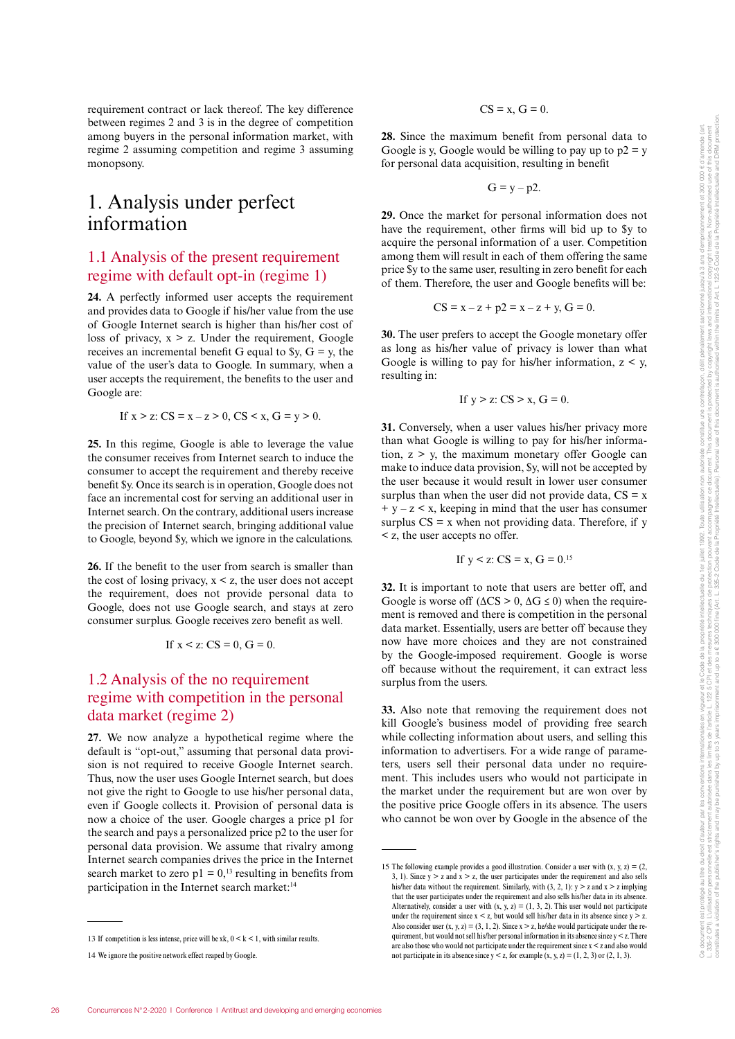requirement contract or lack thereof. The key difference between regimes 2 and 3 is in the degree of competition among buyers in the personal information market, with regime 2 assuming competition and regime 3 assuming monopsony.

#### 1. Analysis under perfect information

#### 1.1 Analysis of the present requirement regime with default opt-in (regime 1)

**24.** A perfectly informed user accepts the requirement and provides data to Google if his/her value from the use of Google Internet search is higher than his/her cost of loss of privacy,  $x > z$ . Under the requirement, Google receives an incremental benefit G equal to  $y, G = y$ , the value of the user's data to Google. In summary, when a user accepts the requirement, the benefits to the user and Google are:

If 
$$
x > z
$$
: CS =  $x - z > 0$ , CS  $\leq x$ , G =  $y > 0$ .

**25.** In this regime, Google is able to leverage the value the consumer receives from Internet search to induce the consumer to accept the requirement and thereby receive benefit \$y. Once its search is in operation, Google does not face an incremental cost for serving an additional user in Internet search. On the contrary, additional users increase the precision of Internet search, bringing additional value to Google, beyond \$y, which we ignore in the calculations.

**26.** If the benefit to the user from search is smaller than the cost of losing privacy,  $x \le z$ , the user does not accept the requirement, does not provide personal data to Google, does not use Google search, and stays at zero consumer surplus. Google receives zero benefit as well.

If 
$$
x < z
$$
:  $CS = 0$ ,  $G = 0$ .

#### 1.2 Analysis of the no requirement regime with competition in the personal data market (regime 2)

**27.** We now analyze a hypothetical regime where the default is "opt-out," assuming that personal data provision is not required to receive Google Internet search. Thus, now the user uses Google Internet search, but does not give the right to Google to use his/her personal data, even if Google collects it. Provision of personal data is now a choice of the user. Google charges a price p1 for the search and pays a personalized price p2 to the user for personal data provision. We assume that rivalry among Internet search companies drives the price in the Internet search market to zero  $p1 = 0$ ,<sup>13</sup> resulting in benefits from participation in the Internet search market:<sup>14</sup>

#### $CS = x$ ,  $G = 0$ .

**28.** Since the maximum benefit from personal data to Google is y, Google would be willing to pay up to  $p2 = y$ for personal data acquisition, resulting in benefit

$$
G = y - p2.
$$

**29.** Once the market for personal information does not have the requirement, other firms will bid up to \$y to acquire the personal information of a user. Competition among them will result in each of them offering the same price \$y to the same user, resulting in zero benefit for each of them. Therefore, the user and Google benefits will be:

$$
CS = x - z + p2 = x - z + y, G = 0.
$$

**30.** The user prefers to accept the Google monetary offer as long as his/her value of privacy is lower than what Google is willing to pay for his/her information,  $z \le y$ , resulting in:

If 
$$
y > z
$$
:  $CS > x$ ,  $G = 0$ .

**31.** Conversely, when a user values his/her privacy more than what Google is willing to pay for his/her information,  $z > y$ , the maximum monetary offer Google can make to induce data provision, \$y, will not be accepted by the user because it would result in lower user consumer surplus than when the user did not provide data,  $CS = x$  $+$  y – z  $\leq$  x, keeping in mind that the user has consumer surplus  $CS = x$  when not providing data. Therefore, if y < z, the user accepts no offer.

If 
$$
y < z
$$
:  $CS = x$ ,  $G = 0$ .<sup>15</sup>

**32.** It is important to note that users are better off, and Google is worse off  $(\Delta CS > 0, \Delta G \le 0)$  when the requirement is removed and there is competition in the personal data market. Essentially, users are better off because they now have more choices and they are not constrained by the Google-imposed requirement. Google is worse off because without the requirement, it can extract less surplus from the users.

**33.** Also note that removing the requirement does not kill Google's business model of providing free search while collecting information about users, and selling this information to advertisers. For a wide range of parameters, users sell their personal data under no requirement. This includes users who would not participate in the market under the requirement but are won over by the positive price Google offers in its absence. The users who cannot be won over by Google in the absence of the

<sup>13</sup> If competition is less intense, price will be xk,  $0 \le k \le 1$ , with similar results.

<sup>14</sup> We ignore the positive network effect reaped by Google.

<sup>15</sup> The following example provides a good illustration. Consider a user with  $(x, y, z) = (2, z)$ 3, 1). Since  $y > z$  and  $x > z$ , the user participates under the requirement and also sells his/her data without the requirement. Similarly, with (3, 2, 1):  $y > z$  and  $x > z$  implying that the user participates under the requirement and also sells his/her data in its absence. Alternatively, consider a user with  $(x, y, z) = (1, 3, 2)$ . This user would not participate under the requirement since  $x < z$ , but would sell his/her data in its absence since  $y > z$ . Also consider user  $(x, y, z) = (3, 1, 2)$ . Since  $x > z$ , he/she would participate under the requirement, but would not sell his/her personal information in its absence since  $\mathbf{y}<\mathbf{z}$  . There are also those who would not participate under the requirement since  $x < z$  and also would not participate in its absence since  $y < z$ , for example  $(x, y, z) = (1, 2, 3)$  or  $(2, 1, 3)$ .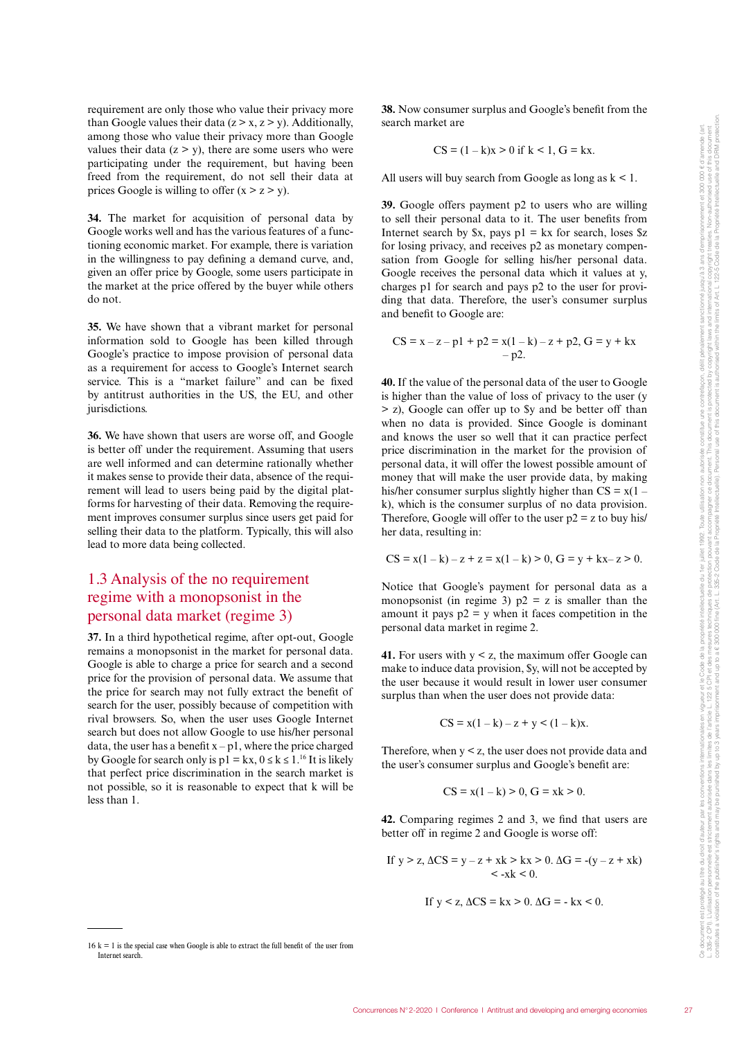requirement are only those who value their privacy more than Google values their data  $(z > x, z > y)$ . Additionally, among those who value their privacy more than Google values their data  $(z > y)$ , there are some users who were participating under the requirement, but having been freed from the requirement, do not sell their data at prices Google is willing to offer  $(x > z > y)$ .

**34.** The market for acquisition of personal data by Google works well and has the various features of a functioning economic market. For example, there is variation in the willingness to pay defining a demand curve, and, given an offer price by Google, some users participate in the market at the price offered by the buyer while others do not.

**35.** We have shown that a vibrant market for personal information sold to Google has been killed through Google's practice to impose provision of personal data as a requirement for access to Google's Internet search service. This is a "market failure" and can be fixed by antitrust authorities in the US, the EU, and other jurisdictions.

**36.** We have shown that users are worse off, and Google is better off under the requirement. Assuming that users are well informed and can determine rationally whether it makes sense to provide their data, absence of the requirement will lead to users being paid by the digital platforms for harvesting of their data. Removing the requirement improves consumer surplus since users get paid for selling their data to the platform. Typically, this will also lead to more data being collected.

#### 1.3 Analysis of the no requirement regime with a monopsonist in the personal data market (regime 3)

**37.** In a third hypothetical regime, after opt-out, Google remains a monopsonist in the market for personal data. Google is able to charge a price for search and a second price for the provision of personal data. We assume that the price for search may not fully extract the benefit of search for the user, possibly because of competition with rival browsers. So, when the user uses Google Internet search but does not allow Google to use his/her personal data, the user has a benefit  $x - p1$ , where the price charged by Google for search only is  $p1 = kx$ ,  $0 \le k \le 1$ .<sup>16</sup> It is likely that perfect price discrimination in the search market is not possible, so it is reasonable to expect that k will be less than 1.

 $16 k = 1$  is the special case when Google is able to extract the full benefit of the user from Internet search.

**38.** Now consumer surplus and Google's benefit from the search market are

$$
CS = (1 - k)x > 0 \text{ if } k < 1, G = kx.
$$

All users will buy search from Google as long as  $k < 1$ .

**39.** Google offers payment p2 to users who are willing to sell their personal data to it. The user benefits from Internet search by  $x$ , pays  $p1 = kx$  for search, loses  $z$ for losing privacy, and receives p2 as monetary compensation from Google for selling his/her personal data. Google receives the personal data which it values at y, charges p1 for search and pays p2 to the user for providing that data. Therefore, the user's consumer surplus and benefit to Google are:

$$
CS = x - z - p1 + p2 = x(1 - k) - z + p2, G = y + kx - p2.
$$

**40.** If the value of the personal data of the user to Google is higher than the value of loss of privacy to the user (y > z), Google can offer up to \$y and be better off than when no data is provided. Since Google is dominant and knows the user so well that it can practice perfect price discrimination in the market for the provision of personal data, it will offer the lowest possible amount of money that will make the user provide data, by making his/her consumer surplus slightly higher than  $CS = x(1$ k), which is the consumer surplus of no data provision. Therefore, Google will offer to the user  $p2 = z$  to buy his/ her data, resulting in:

$$
CS = x(1 - k) - z + z = x(1 - k) > 0, G = y + kx - z > 0.
$$

Notice that Google's payment for personal data as a monopsonist (in regime 3)  $p2 = z$  is smaller than the amount it pays  $p2 = y$  when it faces competition in the personal data market in regime 2.

**41.** For users with  $y < z$ , the maximum offer Google can make to induce data provision, \$y, will not be accepted by the user because it would result in lower user consumer surplus than when the user does not provide data:

$$
CS = x(1 - k) - z + y < (1 - k)x.
$$

Therefore, when  $y \le z$ , the user does not provide data and the user's consumer surplus and Google's benefit are:

$$
CS = x(1 - k) > 0, G = xk > 0.
$$

**42.** Comparing regimes 2 and 3, we find that users are better off in regime 2 and Google is worse off:

If 
$$
y > z
$$
,  $\Delta CS = y - z + xk > kx > 0$ .  $\Delta G = -(y - z + xk) < -xk < 0$ .

If 
$$
y < z
$$
,  $\Delta CS = kx > 0$ .  $\Delta G = -kx < 0$ .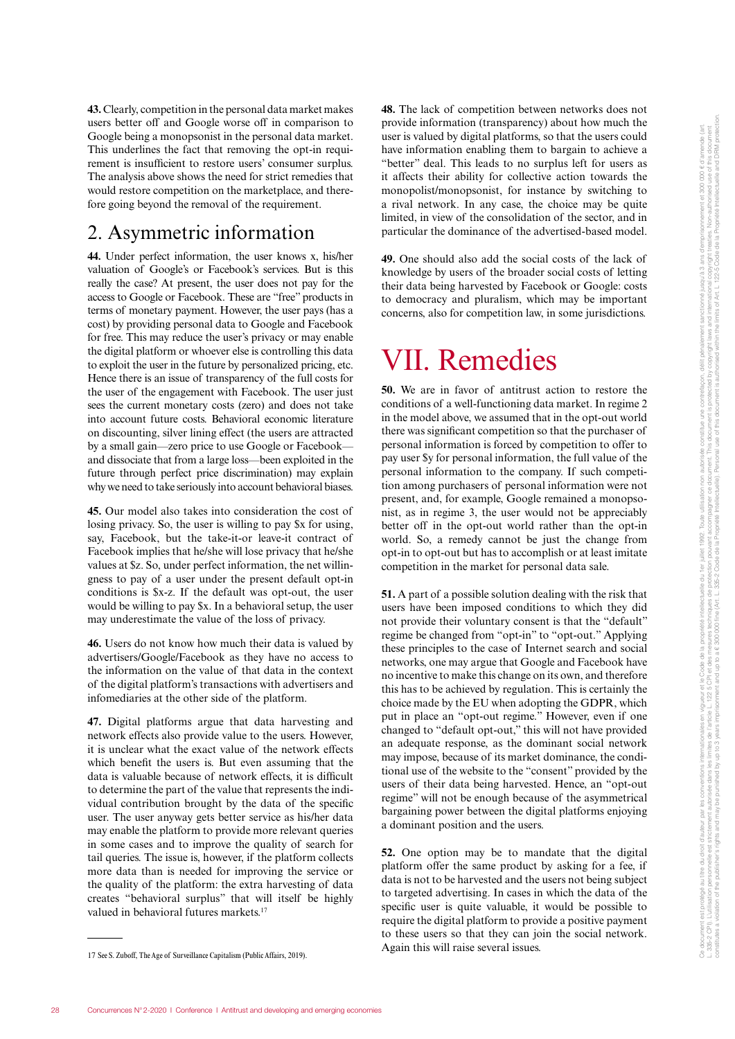**43.** Clearly, competition in the personal data market makes users better off and Google worse off in comparison to Google being a monopsonist in the personal data market. This underlines the fact that removing the opt-in requirement is insufficient to restore users' consumer surplus. The analysis above shows the need for strict remedies that would restore competition on the marketplace, and therefore going beyond the removal of the requirement.

#### 2. Asymmetric information

**44.** Under perfect information, the user knows x, his/her valuation of Google's or Facebook's services. But is this really the case? At present, the user does not pay for the access to Google or Facebook. These are "free" products in terms of monetary payment. However, the user pays (has a cost) by providing personal data to Google and Facebook for free. This may reduce the user's privacy or may enable the digital platform or whoever else is controlling this data to exploit the user in the future by personalized pricing, etc. Hence there is an issue of transparency of the full costs for the user of the engagement with Facebook. The user just sees the current monetary costs (zero) and does not take into account future costs. Behavioral economic literature on discounting, silver lining effect (the users are attracted by a small gain—zero price to use Google or Facebook and dissociate that from a large loss—been exploited in the future through perfect price discrimination) may explain why we need to take seriously into account behavioral biases.

**45.** Our model also takes into consideration the cost of losing privacy. So, the user is willing to pay \$x for using, say, Facebook, but the take-it-or leave-it contract of Facebook implies that he/she will lose privacy that he/she values at \$z. So, under perfect information, the net willingness to pay of a user under the present default opt-in conditions is \$x-z. If the default was opt-out, the user would be willing to pay \$x. In a behavioral setup, the user may underestimate the value of the loss of privacy.

**46.** Users do not know how much their data is valued by advertisers/Google/Facebook as they have no access to the information on the value of that data in the context of the digital platform's transactions with advertisers and infomediaries at the other side of the platform.

**47.** Digital platforms argue that data harvesting and network effects also provide value to the users. However, it is unclear what the exact value of the network effects which benefit the users is. But even assuming that the data is valuable because of network effects, it is difficult to determine the part of the value that represents the individual contribution brought by the data of the specific user. The user anyway gets better service as his/her data may enable the platform to provide more relevant queries in some cases and to improve the quality of search for tail queries. The issue is, however, if the platform collects more data than is needed for improving the service or the quality of the platform: the extra harvesting of data creates "behavioral surplus" that will itself be highly valued in behavioral futures markets.<sup>17</sup>

**48.** The lack of competition between networks does not provide information (transparency) about how much the user is valued by digital platforms, so that the users could have information enabling them to bargain to achieve a "better" deal. This leads to no surplus left for users as it affects their ability for collective action towards the monopolist/monopsonist, for instance by switching to a rival network. In any case, the choice may be quite limited, in view of the consolidation of the sector, and in particular the dominance of the advertised-based model.

**49.** One should also add the social costs of the lack of knowledge by users of the broader social costs of letting their data being harvested by Facebook or Google: costs to democracy and pluralism, which may be important concerns, also for competition law, in some jurisdictions.

### VII. Remedies

**50.** We are in favor of antitrust action to restore the conditions of a well-functioning data market. In regime 2 in the model above, we assumed that in the opt-out world there was significant competition so that the purchaser of personal information is forced by competition to offer to pay user \$y for personal information, the full value of the personal information to the company. If such competition among purchasers of personal information were not present, and, for example, Google remained a monopsonist, as in regime 3, the user would not be appreciably better off in the opt-out world rather than the opt-in world. So, a remedy cannot be just the change from opt-in to opt-out but has to accomplish or at least imitate competition in the market for personal data sale.

**51.** A part of a possible solution dealing with the risk that users have been imposed conditions to which they did not provide their voluntary consent is that the "default" regime be changed from "opt-in" to "opt-out." Applying these principles to the case of Internet search and social networks, one may argue that Google and Facebook have no incentive to make this change on its own, and therefore this has to be achieved by regulation. This is certainly the choice made by the EU when adopting the GDPR, which put in place an "opt-out regime." However, even if one changed to "default opt-out," this will not have provided an adequate response, as the dominant social network may impose, because of its market dominance, the conditional use of the website to the "consent" provided by the users of their data being harvested. Hence, an "opt-out regime" will not be enough because of the asymmetrical bargaining power between the digital platforms enjoying a dominant position and the users.

**52.** One option may be to mandate that the digital platform offer the same product by asking for a fee, if data is not to be harvested and the users not being subject to targeted advertising. In cases in which the data of the specific user is quite valuable, it would be possible to require the digital platform to provide a positive payment to these users so that they can join the social network. Again this will raise several issues.

<sup>17</sup> See S. Zuboff, The Age of Surveillance Capitalism (Public Affairs, 2019).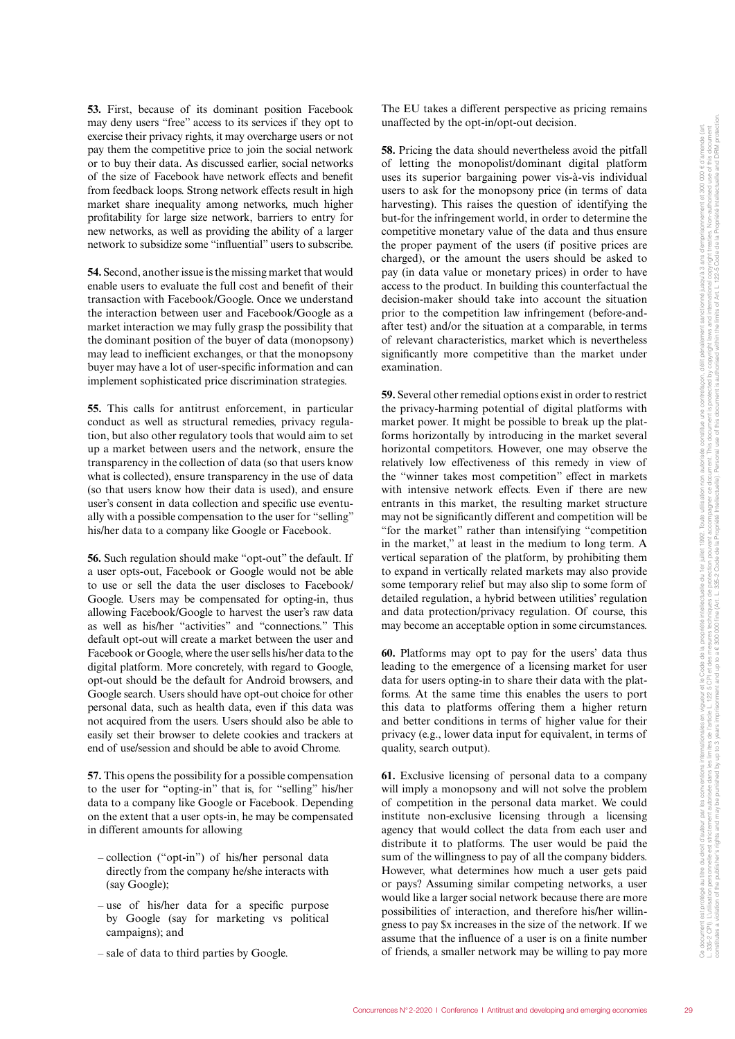**53.** First, because of its dominant position Facebook may deny users "free" access to its services if they opt to exercise their privacy rights, it may overcharge users or not pay them the competitive price to join the social network or to buy their data. As discussed earlier, social networks of the size of Facebook have network effects and benefit from feedback loops. Strong network effects result in high market share inequality among networks, much higher profitability for large size network, barriers to entry for new networks, as well as providing the ability of a larger network to subsidize some "influential" users to subscribe.

**54.** Second, another issue is the missing market that would enable users to evaluate the full cost and benefit of their transaction with Facebook/Google. Once we understand the interaction between user and Facebook/Google as a market interaction we may fully grasp the possibility that the dominant position of the buyer of data (monopsony) may lead to inefficient exchanges, or that the monopsony buyer may have a lot of user-specific information and can implement sophisticated price discrimination strategies.

**55.** This calls for antitrust enforcement, in particular conduct as well as structural remedies, privacy regulation, but also other regulatory tools that would aim to set up a market between users and the network, ensure the transparency in the collection of data (so that users know what is collected), ensure transparency in the use of data (so that users know how their data is used), and ensure user's consent in data collection and specific use eventually with a possible compensation to the user for "selling" his/her data to a company like Google or Facebook.

**56.** Such regulation should make "opt-out" the default. If a user opts-out, Facebook or Google would not be able to use or sell the data the user discloses to Facebook/ Google. Users may be compensated for opting-in, thus allowing Facebook/Google to harvest the user's raw data as well as his/her "activities" and "connections." This default opt-out will create a market between the user and Facebook or Google, where the user sells his/her data to the digital platform. More concretely, with regard to Google, opt-out should be the default for Android browsers, and Google search. Users should have opt-out choice for other personal data, such as health data, even if this data was not acquired from the users. Users should also be able to easily set their browser to delete cookies and trackers at end of use/session and should be able to avoid Chrome.

**57.** This opens the possibility for a possible compensation to the user for "opting-in" that is, for "selling" his/her data to a company like Google or Facebook. Depending on the extent that a user opts-in, he may be compensated in different amounts for allowing

- collection ("opt-in") of his/her personal data directly from the company he/she interacts with (say Google);
- use of his/her data for a specific purpose by Google (say for marketing vs political campaigns); and
- sale of data to third parties by Google.

The EU takes a different perspective as pricing remains unaffected by the opt-in/opt-out decision.

**58.** Pricing the data should nevertheless avoid the pitfall of letting the monopolist/dominant digital platform uses its superior bargaining power vis-à-vis individual users to ask for the monopsony price (in terms of data harvesting). This raises the question of identifying the but-for the infringement world, in order to determine the competitive monetary value of the data and thus ensure the proper payment of the users (if positive prices are charged), or the amount the users should be asked to pay (in data value or monetary prices) in order to have access to the product. In building this counterfactual the decision-maker should take into account the situation prior to the competition law infringement (before-andafter test) and/or the situation at a comparable, in terms of relevant characteristics, market which is nevertheless significantly more competitive than the market under examination.

**59.** Several other remedial options exist in order to restrict the privacy-harming potential of digital platforms with market power. It might be possible to break up the platforms horizontally by introducing in the market several horizontal competitors. However, one may observe the relatively low effectiveness of this remedy in view of the "winner takes most competition" effect in markets with intensive network effects. Even if there are new entrants in this market, the resulting market structure may not be significantly different and competition will be "for the market" rather than intensifying "competition in the market," at least in the medium to long term. A vertical separation of the platform, by prohibiting them to expand in vertically related markets may also provide some temporary relief but may also slip to some form of detailed regulation, a hybrid between utilities' regulation and data protection/privacy regulation. Of course, this may become an acceptable option in some circumstances.

**60.** Platforms may opt to pay for the users' data thus leading to the emergence of a licensing market for user data for users opting-in to share their data with the platforms. At the same time this enables the users to port this data to platforms offering them a higher return and better conditions in terms of higher value for their privacy (e.g., lower data input for equivalent, in terms of quality, search output).

**61.** Exclusive licensing of personal data to a company will imply a monopsony and will not solve the problem of competition in the personal data market. We could institute non-exclusive licensing through a licensing agency that would collect the data from each user and distribute it to platforms. The user would be paid the sum of the willingness to pay of all the company bidders. However, what determines how much a user gets paid or pays? Assuming similar competing networks, a user would like a larger social network because there are more possibilities of interaction, and therefore his/her willingness to pay \$x increases in the size of the network. If we assume that the influence of a user is on a finite number of friends, a smaller network may be willing to pay more